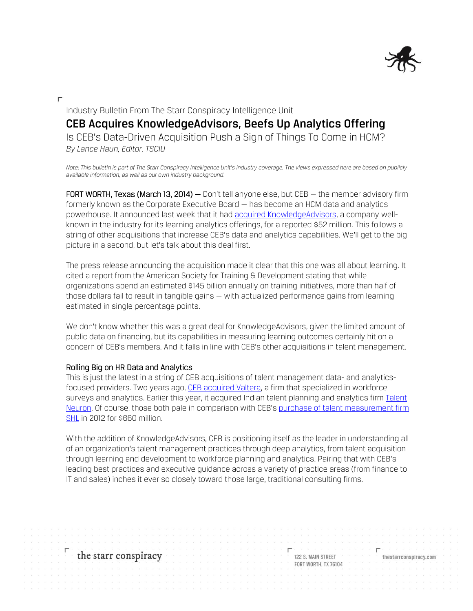

Industry Bulletin From The Starr Conspiracy Intelligence Unit **CEB Acquires KnowledgeAdvisors, Beefs Up Analytics Offering** Is CEB's Data-Driven Acquisition Push a Sign of Things To Come in HCM? *By Lance Haun, Editor, TSCIU*

*Note: This bulletin is part of The Starr Conspiracy Intelligence Unit's industry coverage. The views expressed here are based on publicly available information, as well as our own industry background.*

FORT WORTH, Texas (March 13, 2014) – Don't tell anyone else, but CEB – the member advisory firm formerly known as the Corporate Executive Board — has become an HCM data and analytics powerhouse. It announced last week that it had [acquired KnowledgeAdvisors,](http://www.twst.com/update/44446-ceb-the-corporate-executive-board-company-ceb-acquires-knowledgeadvisors) a company wellknown in the industry for its learning analytics offerings, for a reported \$52 million. This follows a string of other acquisitions that increase CEB's data and analytics capabilities. We'll get to the big picture in a second, but let's talk about this deal first.

The press release announcing the acquisition made it clear that this one was all about learning. It cited a report from the American Society for Training & Development stating that while organizations spend an estimated \$145 billion annually on training initiatives, more than half of those dollars fail to result in tangible gains — with actualized performance gains from learning estimated in single percentage points.

We don't know whether this was a great deal for KnowledgeAdvisors, given the limited amount of public data on financing, but its capabilities in measuring learning outcomes certainly hit on a concern of CEB's members. And it falls in line with CEB's other acquisitions in talent management.

## Rolling Big on HR Data and Analytics

This is just the latest in a string of CEB acquisitions of talent management data- and analyticsfocused providers. Two years ago, [CEB acquired Valtera,](http://ir.executiveboard.com/phoenix.zhtml?c=113226&p=irol-newsArticle&ID=1658046&highlight=) a firm that specialized in workforce surveys and analytics. Earlier this year, it acquired Indian talent planning and analytics firm Talent [Neuron.](http://www.marketwatch.com/story/ceb-acquires-talent-neuron-2014-02-11?reflink=MW_news_stmp) Of course, those both pale in comparison with CEB's [purchase of talent measurement firm](http://uk.reuters.com/article/2012/07/03/corporateexecutiveboard-shares-idUKL3E8I33EE20120703)  [SHL](http://uk.reuters.com/article/2012/07/03/corporateexecutiveboard-shares-idUKL3E8I33EE20120703) in 2012 for \$660 million.

With the addition of KnowledgeAdvisors, CEB is positioning itself as the leader in understanding all of an organization's talent management practices through deep analytics, from talent acquisition through learning and development to workforce planning and analytics. Pairing that with CEB's leading best practices and executive guidance across a variety of practice areas (from finance to IT and sales) inches it ever so closely toward those large, traditional consulting firms.

the starr conspiracy

122 S. MAIN STREET FORT WORTH, TX 76104 thestarrconspiracy.com